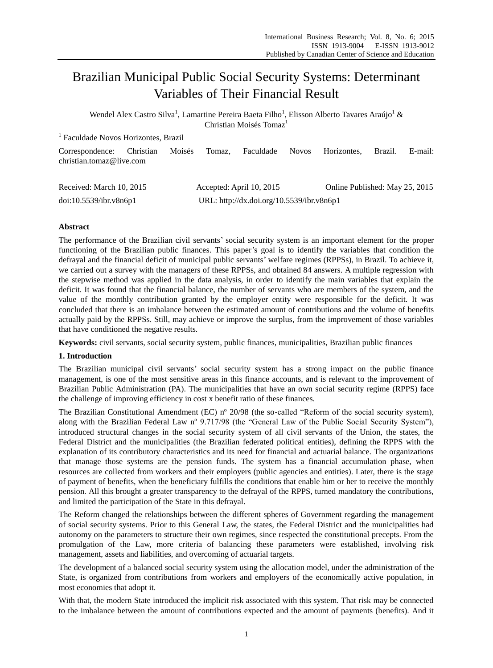# Brazilian Municipal Public Social Security Systems: Determinant Variables of Their Financial Result

Wendel Alex Castro Silva<sup>1</sup>, Lamartine Pereira Baeta Filho<sup>1</sup>, Elisson Alberto Tavares Araújo<sup>1</sup> & Christian Mois  $\&$  Tomaz<sup>1</sup>

<sup>1</sup> Faculdade Novos Horizontes, Brazil

| Correspondence: Christian Mois & Tomaz, Faculdade Novos Horizontes, Brazil. E-mail: |  |  |  |  |
|-------------------------------------------------------------------------------------|--|--|--|--|
| christian.comaz@live.com                                                            |  |  |  |  |
|                                                                                     |  |  |  |  |

| Received: March 10, 2015 | Accepted: April 10, 2015                  | Online Published: May 25, 2015 |
|--------------------------|-------------------------------------------|--------------------------------|
| doi:10.5539/ibr.v8n6p1   | URL: http://dx.doi.org/10.5539/ibr.v8n6p1 |                                |

# **Abstract**

The performance of the Brazilian civil servants' social security system is an important element for the proper functioning of the Brazilian public finances. This paper's goal is to identify the variables that condition the defrayal and the financial deficit of municipal public servants' welfare regimes (RPPSs), in Brazil. To achieve it, we carried out a survey with the managers of these RPPSs, and obtained 84 answers. A multiple regression with the stepwise method was applied in the data analysis, in order to identify the main variables that explain the deficit. It was found that the financial balance, the number of servants who are members of the system, and the value of the monthly contribution granted by the employer entity were responsible for the deficit. It was concluded that there is an imbalance between the estimated amount of contributions and the volume of benefits actually paid by the RPPSs. Still, may achieve or improve the surplus, from the improvement of those variables that have conditioned the negative results.

**Keywords:** civil servants, social security system, public finances, municipalities, Brazilian public finances

# **1. Introduction**

The Brazilian municipal civil servants' social security system has a strong impact on the public finance management, is one of the most sensitive areas in this finance accounts, and is relevant to the improvement of Brazilian Public Administration (PA). The municipalities that have an own social security regime (RPPS) face the challenge of improving efficiency in cost x benefit ratio of these finances.

The Brazilian Constitutional Amendment (EC) nº 20/98 (the so-called "Reform of the social security system), along with the Brazilian Federal Law nº 9.717/98 (the "General Law of the Public Social Security System"), introduced structural changes in the social security system of all civil servants of the Union, the states, the Federal District and the municipalities (the Brazilian federated political entities), defining the RPPS with the explanation of its contributory characteristics and its need for financial and actuarial balance. The organizations that manage those systems are the pension funds. The system has a financial accumulation phase, when resources are collected from workers and their employers (public agencies and entities). Later, there is the stage of payment of benefits, when the beneficiary fulfills the conditions that enable him or her to receive the monthly pension. All this brought a greater transparency to the defrayal of the RPPS, turned mandatory the contributions, and limited the participation of the State in this defrayal.

The Reform changed the relationships between the different spheres of Government regarding the management of social security systems. Prior to this General Law, the states, the Federal District and the municipalities had autonomy on the parameters to structure their own regimes, since respected the constitutional precepts. From the promulgation of the Law, more criteria of balancing these parameters were established, involving risk management, assets and liabilities, and overcoming of actuarial targets.

The development of a balanced social security system using the allocation model, under the administration of the State, is organized from contributions from workers and employers of the economically active population, in most economies that adopt it.

With that, the modern State introduced the implicit risk associated with this system. That risk may be connected to the imbalance between the amount of contributions expected and the amount of payments (benefits). And it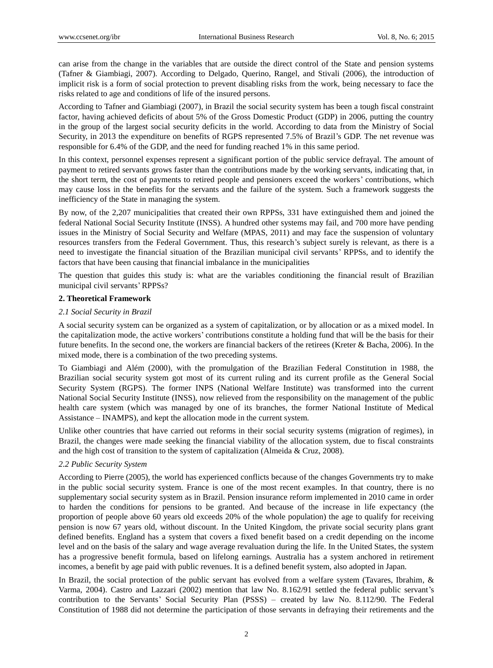can arise from the change in the variables that are outside the direct control of the State and pension systems (Tafner & Giambiagi, 2007). According to Delgado, Querino, Rangel, and Stivali (2006), the introduction of implicit risk is a form of social protection to prevent disabling risks from the work, being necessary to face the risks related to age and conditions of life of the insured persons.

According to Tafner and Giambiagi (2007), in Brazil the social security system has been a tough fiscal constraint factor, having achieved deficits of about 5% of the Gross Domestic Product (GDP) in 2006, putting the country in the group of the largest social security deficits in the world. According to data from the Ministry of Social Security, in 2013 the expenditure on benefits of RGPS represented 7.5% of Brazil's GDP. The net revenue was responsible for 6.4% of the GDP, and the need for funding reached 1% in this same period.

In this context, personnel expenses represent a significant portion of the public service defrayal. The amount of payment to retired servants grows faster than the contributions made by the working servants, indicating that, in the short term, the cost of payments to retired people and pensioners exceed the workers' contributions, which may cause loss in the benefits for the servants and the failure of the system. Such a framework suggests the inefficiency of the State in managing the system.

By now, of the 2,207 municipalities that created their own RPPSs, 331 have extinguished them and joined the federal National Social Security Institute (INSS). A hundred other systems may fail, and 700 more have pending issues in the Ministry of Social Security and Welfare (MPAS, 2011) and may face the suspension of voluntary resources transfers from the Federal Government. Thus, this research's subject surely is relevant, as there is a need to investigate the financial situation of the Brazilian municipal civil servants' RPPSs, and to identify the factors that have been causing that financial imbalance in the municipalities

The question that guides this study is: what are the variables conditioning the financial result of Brazilian municipal civil servants' RPPSs?

#### **2. Theoretical Framework**

## *2.1 Social Security in Brazil*

A social security system can be organized as a system of capitalization, or by allocation or as a mixed model. In the capitalization mode, the active workers' contributions constitute a holding fund that will be the basis for their future benefits. In the second one, the workers are financial backers of the retirees (Kreter & Bacha, 2006). In the mixed mode, there is a combination of the two preceding systems.

To Giambiagi and Além (2000), with the promulgation of the Brazilian Federal Constitution in 1988, the Brazilian social security system got most of its current ruling and its current profile as the General Social Security System (RGPS). The former INPS (National Welfare Institute) was transformed into the current National Social Security Institute (INSS), now relieved from the responsibility on the management of the public health care system (which was managed by one of its branches, the former National Institute of Medical Assistance – INAMPS), and kept the allocation mode in the current system.

Unlike other countries that have carried out reforms in their social security systems (migration of regimes), in Brazil, the changes were made seeking the financial viability of the allocation system, due to fiscal constraints and the high cost of transition to the system of capitalization (Almeida & Cruz, 2008).

## *2.2 Public Security System*

According to Pierre (2005), the world has experienced conflicts because of the changes Governments try to make in the public social security system. France is one of the most recent examples. In that country, there is no supplementary social security system as in Brazil. Pension insurance reform implemented in 2010 came in order to harden the conditions for pensions to be granted. And because of the increase in life expectancy (the proportion of people above 60 years old exceeds 20% of the whole population) the age to qualify for receiving pension is now 67 years old, without discount. In the United Kingdom, the private social security plans grant defined benefits. England has a system that covers a fixed benefit based on a credit depending on the income level and on the basis of the salary and wage average revaluation during the life. In the United States, the system has a progressive benefit formula, based on lifelong earnings. Australia has a system anchored in retirement incomes, a benefit by age paid with public revenues. It is a defined benefit system, also adopted in Japan.

In Brazil, the social protection of the public servant has evolved from a welfare system (Tavares, Ibrahim, & Varma, 2004). Castro and Lazzari (2002) mention that law No. 8.162/91 settled the federal public servant's contribution to the Servants' Social Security Plan (PSSS) – created by law No. 8.112/90. The Federal Constitution of 1988 did not determine the participation of those servants in defraying their retirements and the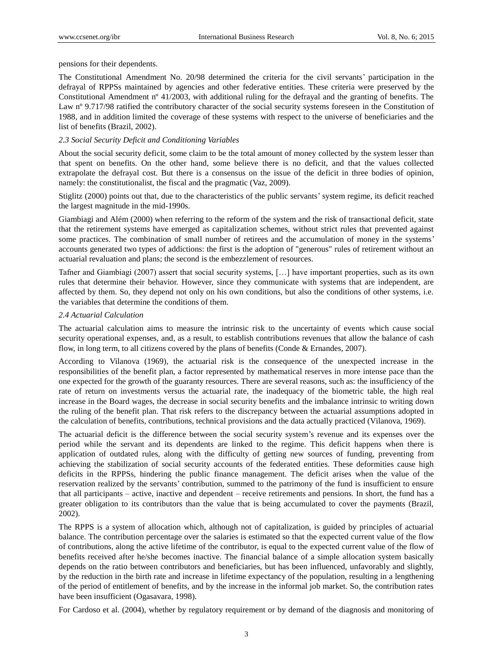pensions for their dependents.

The Constitutional Amendment No. 20/98 determined the criteria for the civil servants' participation in the defrayal of RPPSs maintained by agencies and other federative entities. These criteria were preserved by the Constitutional Amendment n°41/2003, with additional ruling for the defrayal and the granting of benefits. The Law n<sup>o</sup> 9.717/98 ratified the contributory character of the social security systems foreseen in the Constitution of 1988, and in addition limited the coverage of these systems with respect to the universe of beneficiaries and the list of benefits (Brazil, 2002).

## *2.3 Social Security Deficit and Conditioning Variables*

About the social security deficit, some claim to be the total amount of money collected by the system lesser than that spent on benefits. On the other hand, some believe there is no deficit, and that the values collected extrapolate the defrayal cost. But there is a consensus on the issue of the deficit in three bodies of opinion, namely: the constitutionalist, the fiscal and the pragmatic (Vaz, 2009).

Stiglitz (2000) points out that, due to the characteristics of the public servants' system regime, its deficit reached the largest magnitude in the mid-1990s.

Giambiagi and Além (2000) when referring to the reform of the system and the risk of transactional deficit, state that the retirement systems have emerged as capitalization schemes, without strict rules that prevented against some practices. The combination of small number of retirees and the accumulation of money in the systems' accounts generated two types of addictions: the first is the adoption of "generous" rules of retirement without an actuarial revaluation and plans; the second is the embezzlement of resources.

Tafner and Giambiagi (2007) assert that social security systems, […] have important properties, such as its own rules that determine their behavior. However, since they communicate with systems that are independent, are affected by them. So, they depend not only on his own conditions, but also the conditions of other systems, i.e. the variables that determine the conditions of them.

## *2.4 Actuarial Calculation*

The actuarial calculation aims to measure the intrinsic risk to the uncertainty of events which cause social security operational expenses, and, as a result, to establish contributions revenues that allow the balance of cash flow, in long term, to all citizens covered by the plans of benefits (Conde & Ernandes, 2007).

According to Vilanova (1969), the actuarial risk is the consequence of the unexpected increase in the responsibilities of the benefit plan, a factor represented by mathematical reserves in more intense pace than the one expected for the growth of the guaranty resources. There are several reasons, such as: the insufficiency of the rate of return on investments versus the actuarial rate, the inadequacy of the biometric table, the high real increase in the Board wages, the decrease in social security benefits and the imbalance intrinsic to writing down the ruling of the benefit plan. That risk refers to the discrepancy between the actuarial assumptions adopted in the calculation of benefits, contributions, technical provisions and the data actually practiced (Vilanova, 1969).

The actuarial deficit is the difference between the social security system's revenue and its expenses over the period while the servant and its dependents are linked to the regime. This deficit happens when there is application of outdated rules, along with the difficulty of getting new sources of funding, preventing from achieving the stabilization of social security accounts of the federated entities. These deformities cause high deficits in the RPPSs, hindering the public finance management. The deficit arises when the value of the reservation realized by the servants' contribution, summed to the patrimony of the fund is insufficient to ensure that all participants – active, inactive and dependent – receive retirements and pensions. In short, the fund has a greater obligation to its contributors than the value that is being accumulated to cover the payments (Brazil, 2002).

The RPPS is a system of allocation which, although not of capitalization, is guided by principles of actuarial balance. The contribution percentage over the salaries is estimated so that the expected current value of the flow of contributions, along the active lifetime of the contributor, is equal to the expected current value of the flow of benefits received after he/she becomes inactive. The financial balance of a simple allocation system basically depends on the ratio between contributors and beneficiaries, but has been influenced, unfavorably and slightly, by the reduction in the birth rate and increase in lifetime expectancy of the population, resulting in a lengthening of the period of entitlement of benefits, and by the increase in the informal job market. So, the contribution rates have been insufficient (Ogasavara, 1998).

For Cardoso et al. (2004), whether by regulatory requirement or by demand of the diagnosis and monitoring of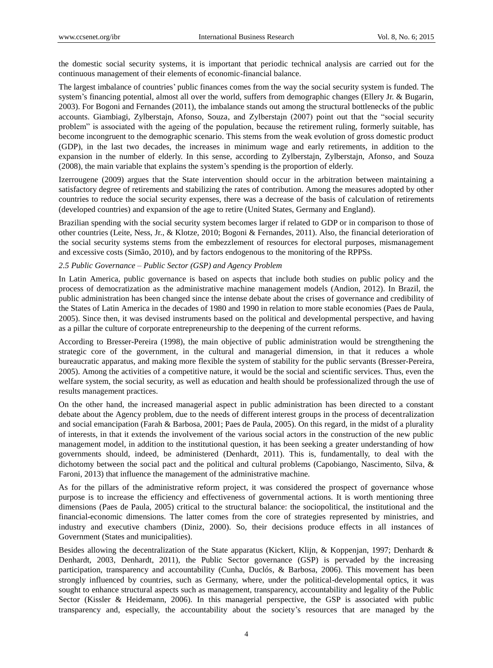the domestic social security systems, it is important that periodic technical analysis are carried out for the continuous management of their elements of economic-financial balance.

The largest imbalance of countries' public finances comes from the way the social security system is funded. The system's financing potential, almost all over the world, suffers from demographic changes (Ellery Jr. & Bugarin, 2003). For Bogoni and Fernandes (2011), the imbalance stands out among the structural bottlenecks of the public accounts. Giambiagi, Zylberstajn, Afonso, Souza, and Zylberstajn (2007) point out that the "social security problem" is associated with the ageing of the population, because the retirement ruling, formerly suitable, has become incongruent to the demographic scenario. This stems from the weak evolution of gross domestic product (GDP), in the last two decades, the increases in minimum wage and early retirements, in addition to the expansion in the number of elderly. In this sense, according to Zylberstajn, Zylberstajn, Afonso, and Souza (2008), the main variable that explains the system's spending is the proportion of elderly.

Izerrougene (2009) argues that the State intervention should occur in the arbitration between maintaining a satisfactory degree of retirements and stabilizing the rates of contribution. Among the measures adopted by other countries to reduce the social security expenses, there was a decrease of the basis of calculation of retirements (developed countries) and expansion of the age to retire (United States, Germany and England).

Brazilian spending with the social security system becomes larger if related to GDP or in comparison to those of other countries (Leite, Ness, Jr., & Klotze, 2010; Bogoni & Fernandes, 2011). Also, the financial deterioration of the social security systems stems from the embezzlement of resources for electoral purposes, mismanagement and excessive costs (Simão, 2010), and by factors endogenous to the monitoring of the RPPSs.

## *2.5 Public Governance – Public Sector (GSP) and Agency Problem*

In Latin America, public governance is based on aspects that include both studies on public policy and the process of democratization as the administrative machine management models (Andion, 2012). In Brazil, the public administration has been changed since the intense debate about the crises of governance and credibility of the States of Latin America in the decades of 1980 and 1990 in relation to more stable economies (Paes de Paula, 2005). Since then, it was devised instruments based on the political and developmental perspective, and having as a pillar the culture of corporate entrepreneurship to the deepening of the current reforms.

According to Bresser-Pereira (1998), the main objective of public administration would be strengthening the strategic core of the government, in the cultural and managerial dimension, in that it reduces a whole bureaucratic apparatus, and making more flexible the system of stability for the public servants (Bresser-Pereira, 2005). Among the activities of a competitive nature, it would be the social and scientific services. Thus, even the welfare system, the social security, as well as education and health should be professionalized through the use of results management practices.

On the other hand, the increased managerial aspect in public administration has been directed to a constant debate about the Agency problem, due to the needs of different interest groups in the process of decentralization and social emancipation (Farah & Barbosa, 2001; Paes de Paula, 2005). On this regard, in the midst of a plurality of interests, in that it extends the involvement of the various social actors in the construction of the new public management model, in addition to the institutional question, it has been seeking a greater understanding of how governments should, indeed, be administered (Denhardt, 2011). This is, fundamentally, to deal with the dichotomy between the social pact and the political and cultural problems (Capobiango, Nascimento, Silva, & Faroni, 2013) that influence the management of the administrative machine.

As for the pillars of the administrative reform project, it was considered the prospect of governance whose purpose is to increase the efficiency and effectiveness of governmental actions. It is worth mentioning three dimensions (Paes de Paula, 2005) critical to the structural balance: the sociopolitical, the institutional and the financial-economic dimensions. The latter comes from the core of strategies represented by ministries, and industry and executive chambers (Diniz, 2000). So, their decisions produce effects in all instances of Government (States and municipalities).

Besides allowing the decentralization of the State apparatus (Kickert, Klijn, & Koppenjan, 1997; Denhardt & Denhardt, 2003, Denhardt, 2011), the Public Sector governance (GSP) is pervaded by the increasing participation, transparency and accountability (Cunha, Duclós, & Barbosa, 2006). This movement has been strongly influenced by countries, such as Germany, where, under the political-developmental optics, it was sought to enhance structural aspects such as management, transparency, accountability and legality of the Public Sector (Kissler & Heidemann, 2006). In this managerial perspective, the GSP is associated with public transparency and, especially, the accountability about the society's resources that are managed by the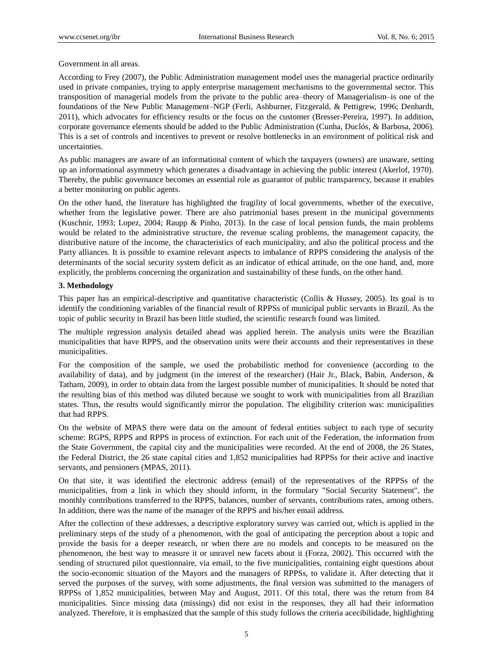Government in all areas.

According to Frey (2007), the Public Administration management model uses the managerial practice ordinarily used in private companies, trying to apply enterprise management mechanisms to the governmental sector. This transposition of managerial models from the private to the public area–theory of Managerialism–is one of the foundations of the New Public Management–NGP (Ferli, Ashburner, Fitzgerald, & Pettigrew, 1996; Denhardt, 2011), which advocates for efficiency results or the focus on the customer (Bresser-Pereira, 1997). In addition, corporate governance elements should be added to the Public Administration (Cunha, Duclós, & Barbosa, 2006). This is a set of controls and incentives to prevent or resolve bottlenecks in an environment of political risk and uncertainties.

As public managers are aware of an informational content of which the taxpayers (owners) are unaware, setting up an informational asymmetry which generates a disadvantage in achieving the public interest (Akerlof, 1970). Thereby, the public governance becomes an essential role as guarantor of public transparency, because it enables a better monitoring on public agents.

On the other hand, the literature has highlighted the fragility of local governments, whether of the executive, whether from the legislative power. There are also patrimonial bases present in the municipal governments (Kuschnir, 1993; Lopez, 2004; Raupp & Pinho, 2013). In the case of local pension funds, the main problems would be related to the administrative structure, the revenue scaling problems, the management capacity, the distributive nature of the income, the characteristics of each municipality, and also the political process and the Party alliances. It is possible to examine relevant aspects to imbalance of RPPS considering the analysis of the determinants of the social security system deficit as an indicator of ethical attitude, on the one hand, and, more explicitly, the problems concerning the organization and sustainability of these funds, on the other hand.

## **3. Methodology**

This paper has an empirical-descriptive and quantitative characteristic (Collis & Hussey, 2005). Its goal is to identify the conditioning variables of the financial result of RPPSs of municipal public servants in Brazil. As the topic of public security in Brazil has been little studied, the scientific research found was limited.

The multiple regression analysis detailed ahead was applied herein. The analysis units were the Brazilian municipalities that have RPPS, and the observation units were their accounts and their representatives in these municipalities.

For the composition of the sample, we used the probabilistic method for convenience (according to the availability of data), and by judgment (in the interest of the researcher) (Hair Jr., Black, Babin, Anderson, & Tatham, 2009), in order to obtain data from the largest possible number of municipalities. It should be noted that the resulting bias of this method was diluted because we sought to work with municipalities from all Brazilian states. Thus, the results would significantly mirror the population. The eligibility criterion was: municipalities that had RPPS.

On the website of MPAS there were data on the amount of federal entities subject to each type of security scheme: RGPS, RPPS and RPPS in process of extinction. For each unit of the Federation, the information from the State Government, the capital city and the municipalities were recorded. At the end of 2008, the 26 States, the Federal District, the 26 state capital cities and 1,852 municipalities had RPPSs for their active and inactive servants, and pensioners (MPAS, 2011).

On that site, it was identified the electronic address (email) of the representatives of the RPPSs of the municipalities, from a link in which they should inform, in the formulary "Social Security Statement", the monthly contributions transferred to the RPPS, balances, number of servants, contributions rates, among others. In addition, there was the name of the manager of the RPPS and his/her email address.

After the collection of these addresses, a descriptive exploratory survey was carried out, which is applied in the preliminary steps of the study of a phenomenon, with the goal of anticipating the perception about a topic and provide the basis for a deeper research, or when there are no models and concepts to be measured on the phenomenon, the best way to measure it or unravel new facets about it (Forza, 2002). This occurred with the sending of structured pilot questionnaire, via email, to the five municipalities, containing eight questions about the socio-economic situation of the Mayors and the managers of RPPSs, to validate it. After detecting that it served the purposes of the survey, with some adjustments, the final version was submitted to the managers of RPPSs of 1,852 municipalities, between May and August, 2011. Of this total, there was the return from 84 municipalities. Since missing data (missings) did not exist in the responses, they all had their information analyzed. Therefore, it is emphasized that the sample of this study follows the criteria acecibilidade, highlighting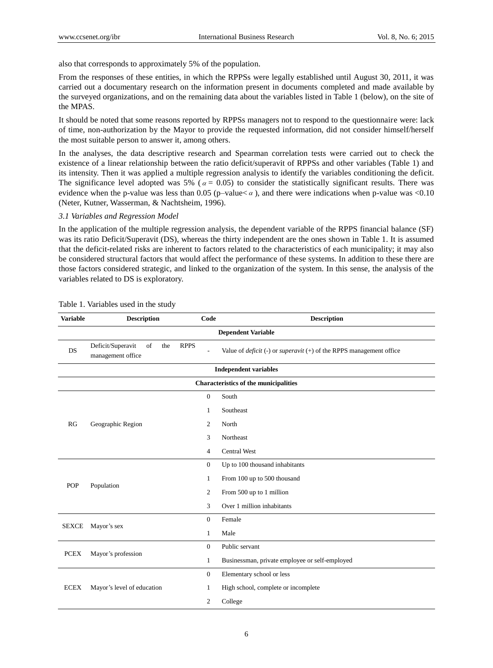also that corresponds to approximately 5% of the population.

From the responses of these entities, in which the RPPSs were legally established until August 30, 2011, it was carried out a documentary research on the information present in documents completed and made available by the surveyed organizations, and on the remaining data about the variables listed in Table 1 (below), on the site of the MPAS.

It should be noted that some reasons reported by RPPSs managers not to respond to the questionnaire were: lack of time, non-authorization by the Mayor to provide the requested information, did not consider himself/herself the most suitable person to answer it, among others.

In the analyses, the data descriptive research and Spearman correlation tests were carried out to check the existence of a linear relationship between the ratio deficit/superavit of RPPSs and other variables (Table 1) and its intensity. Then it was applied a multiple regression analysis to identify the variables conditioning the deficit. The significance level adopted was 5% ( $\alpha$  = 0.05) to consider the statistically significant results. There was evidence when the p-value was less than  $0.05$  (p-value $<\alpha$ ), and there were indications when p-value was  $<0.10$ (Neter, Kutner, Wasserman, & Nachtsheim, 1996).

## *3.1 Variables and Regression Model*

In the application of the multiple regression analysis, the dependent variable of the RPPS financial balance (SF) was its ratio Deficit/Superavit (DS), whereas the thirty independent are the ones shown in Table 1. It is assumed that the deficit-related risks are inherent to factors related to the characteristics of each municipality; it may also be considered structural factors that would affect the performance of these systems. In addition to these there are those factors considered strategic, and linked to the organization of the system. In this sense, the analysis of the variables related to DS is exploratory.

| <b>Variable</b> | <b>Description</b>                                                 | Code           | <b>Description</b>                                                                |  |  |  |  |  |
|-----------------|--------------------------------------------------------------------|----------------|-----------------------------------------------------------------------------------|--|--|--|--|--|
|                 | <b>Dependent Variable</b>                                          |                |                                                                                   |  |  |  |  |  |
| <b>DS</b>       | Deficit/Superavit<br>of<br><b>RPPS</b><br>the<br>management office |                | Value of <i>deficit</i> (-) or <i>superavit</i> (+) of the RPPS management office |  |  |  |  |  |
|                 | <b>Independent variables</b>                                       |                |                                                                                   |  |  |  |  |  |
|                 |                                                                    |                | Characteristics of the municipalities                                             |  |  |  |  |  |
|                 |                                                                    | $\overline{0}$ | South                                                                             |  |  |  |  |  |
|                 |                                                                    | 1              | Southeast                                                                         |  |  |  |  |  |
| RG              | Geographic Region                                                  | 2<br>North     |                                                                                   |  |  |  |  |  |
|                 | 3<br>Northeast                                                     |                |                                                                                   |  |  |  |  |  |
|                 |                                                                    | $\overline{4}$ | Central West                                                                      |  |  |  |  |  |
|                 |                                                                    | $\overline{0}$ | Up to 100 thousand inhabitants                                                    |  |  |  |  |  |
| <b>POP</b>      | Population                                                         | 1              | From 100 up to 500 thousand                                                       |  |  |  |  |  |
|                 |                                                                    | $\overline{c}$ | From 500 up to 1 million                                                          |  |  |  |  |  |
|                 |                                                                    | 3              | Over 1 million inhabitants                                                        |  |  |  |  |  |
| <b>SEXCE</b>    | Mayor's sex                                                        | $\mathbf{0}$   | Female                                                                            |  |  |  |  |  |
|                 |                                                                    | $\mathbf{1}$   | Male                                                                              |  |  |  |  |  |
| <b>PCEX</b>     | Mayor's profession                                                 | $\overline{0}$ | Public servant                                                                    |  |  |  |  |  |
|                 |                                                                    | 1              | Businessman, private employee or self-employed                                    |  |  |  |  |  |
|                 |                                                                    | $\mathbf{0}$   | Elementary school or less                                                         |  |  |  |  |  |
| <b>ECEX</b>     | Mayor's level of education                                         | 1              | High school, complete or incomplete                                               |  |  |  |  |  |
|                 |                                                                    | 2              | College                                                                           |  |  |  |  |  |

Table 1. Variables used in the study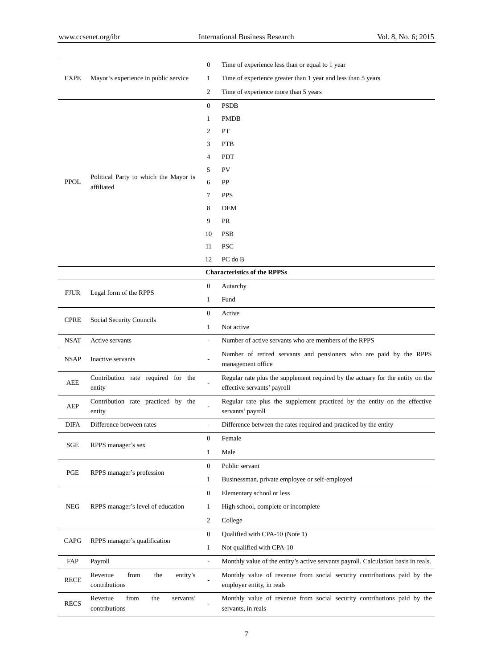|             |                                                      | $\boldsymbol{0}$         | Time of experience less than or equal to 1 year                                                                                                                                                                                                                                                                                                                                                                                                                                                                                            |  |  |
|-------------|------------------------------------------------------|--------------------------|--------------------------------------------------------------------------------------------------------------------------------------------------------------------------------------------------------------------------------------------------------------------------------------------------------------------------------------------------------------------------------------------------------------------------------------------------------------------------------------------------------------------------------------------|--|--|
| <b>EXPE</b> | Mayor's experience in public service                 | $\mathbf{1}$             | Time of experience greater than 1 year and less than 5 years                                                                                                                                                                                                                                                                                                                                                                                                                                                                               |  |  |
|             |                                                      | 2                        | Time of experience more than 5 years                                                                                                                                                                                                                                                                                                                                                                                                                                                                                                       |  |  |
|             |                                                      | 0                        | <b>PSDB</b>                                                                                                                                                                                                                                                                                                                                                                                                                                                                                                                                |  |  |
|             |                                                      | 1                        | <b>PMDB</b>                                                                                                                                                                                                                                                                                                                                                                                                                                                                                                                                |  |  |
|             |                                                      | 2                        | PT                                                                                                                                                                                                                                                                                                                                                                                                                                                                                                                                         |  |  |
|             |                                                      | 3                        | <b>PTB</b>                                                                                                                                                                                                                                                                                                                                                                                                                                                                                                                                 |  |  |
|             |                                                      | 4                        | <b>PDT</b>                                                                                                                                                                                                                                                                                                                                                                                                                                                                                                                                 |  |  |
|             |                                                      | 5                        | PV                                                                                                                                                                                                                                                                                                                                                                                                                                                                                                                                         |  |  |
| <b>PPOL</b> | Political Party to which the Mayor is<br>affiliated  | 6                        | PP                                                                                                                                                                                                                                                                                                                                                                                                                                                                                                                                         |  |  |
|             |                                                      | 7                        | <b>PPS</b>                                                                                                                                                                                                                                                                                                                                                                                                                                                                                                                                 |  |  |
|             |                                                      | 8                        | DEM                                                                                                                                                                                                                                                                                                                                                                                                                                                                                                                                        |  |  |
|             |                                                      | 9                        | PR                                                                                                                                                                                                                                                                                                                                                                                                                                                                                                                                         |  |  |
|             |                                                      | 10                       | <b>PSB</b><br><b>PSC</b><br>PC do B<br>Autarchy<br>Fund<br>Active<br>Not active<br>Number of active servants who are members of the RPPS<br>management office<br>effective servants' payroll<br>servants' payroll                                                                                                                                                                                                                                                                                                                          |  |  |
|             |                                                      | 11                       |                                                                                                                                                                                                                                                                                                                                                                                                                                                                                                                                            |  |  |
|             |                                                      | 12                       | <b>Characteristics of the RPPSs</b><br>Difference between the rates required and practiced by the entity<br>Female<br>Male<br>Public servant<br>Businessman, private employee or self-employed<br>Elementary school or less<br>High school, complete or incomplete<br>College<br>Qualified with CPA-10 (Note 1)<br>Not qualified with CPA-10<br>Monthly value of the entity's active servants payroll. Calculation basis in reals.<br>Monthly value of revenue from social security contributions paid by the<br>employer entity, in reals |  |  |
|             |                                                      |                          |                                                                                                                                                                                                                                                                                                                                                                                                                                                                                                                                            |  |  |
| <b>FJUR</b> | Legal form of the RPPS                               | 0                        |                                                                                                                                                                                                                                                                                                                                                                                                                                                                                                                                            |  |  |
|             |                                                      | $\mathbf{1}$             |                                                                                                                                                                                                                                                                                                                                                                                                                                                                                                                                            |  |  |
|             |                                                      |                          |                                                                                                                                                                                                                                                                                                                                                                                                                                                                                                                                            |  |  |
| <b>CPRE</b> | Social Security Councils                             | $\mathbf{1}$             |                                                                                                                                                                                                                                                                                                                                                                                                                                                                                                                                            |  |  |
| <b>NSAT</b> | Active servants                                      | $\overline{\phantom{a}}$ |                                                                                                                                                                                                                                                                                                                                                                                                                                                                                                                                            |  |  |
| <b>NSAP</b> | Inactive servants                                    |                          | Number of retired servants and pensioners who are paid by the RPPS                                                                                                                                                                                                                                                                                                                                                                                                                                                                         |  |  |
| AEE         | Contribution rate required for the<br>entity         |                          | Regular rate plus the supplement required by the actuary for the entity on the                                                                                                                                                                                                                                                                                                                                                                                                                                                             |  |  |
| AEP         | Contribution rate practiced by the<br>entity         |                          | Regular rate plus the supplement practiced by the entity on the effective                                                                                                                                                                                                                                                                                                                                                                                                                                                                  |  |  |
| <b>DIFA</b> | Difference between rates                             | $\overline{\phantom{a}}$ |                                                                                                                                                                                                                                                                                                                                                                                                                                                                                                                                            |  |  |
|             |                                                      | $\boldsymbol{0}$         |                                                                                                                                                                                                                                                                                                                                                                                                                                                                                                                                            |  |  |
| <b>SGE</b>  | RPPS manager's sex                                   | $\mathbf{1}$             |                                                                                                                                                                                                                                                                                                                                                                                                                                                                                                                                            |  |  |
|             |                                                      | $\boldsymbol{0}$         |                                                                                                                                                                                                                                                                                                                                                                                                                                                                                                                                            |  |  |
| PGE         | RPPS manager's profession                            |                          |                                                                                                                                                                                                                                                                                                                                                                                                                                                                                                                                            |  |  |
|             |                                                      |                          |                                                                                                                                                                                                                                                                                                                                                                                                                                                                                                                                            |  |  |
| ${\rm NEG}$ | RPPS manager's level of education                    | $\mathbf{1}$             |                                                                                                                                                                                                                                                                                                                                                                                                                                                                                                                                            |  |  |
|             |                                                      | 2                        |                                                                                                                                                                                                                                                                                                                                                                                                                                                                                                                                            |  |  |
|             |                                                      | $\boldsymbol{0}$         |                                                                                                                                                                                                                                                                                                                                                                                                                                                                                                                                            |  |  |
| CAPG        | RPPS manager's qualification                         | $\mathbf{1}$             |                                                                                                                                                                                                                                                                                                                                                                                                                                                                                                                                            |  |  |
| FAP         | Payroll                                              | $\overline{\phantom{a}}$ |                                                                                                                                                                                                                                                                                                                                                                                                                                                                                                                                            |  |  |
|             | the                                                  |                          |                                                                                                                                                                                                                                                                                                                                                                                                                                                                                                                                            |  |  |
| <b>RECE</b> | Revenue<br>from<br>entity's<br>contributions         |                          |                                                                                                                                                                                                                                                                                                                                                                                                                                                                                                                                            |  |  |
| <b>RECS</b> | from<br>the<br>servants'<br>Revenue<br>contributions |                          | Monthly value of revenue from social security contributions paid by the<br>servants, in reals                                                                                                                                                                                                                                                                                                                                                                                                                                              |  |  |
|             |                                                      |                          |                                                                                                                                                                                                                                                                                                                                                                                                                                                                                                                                            |  |  |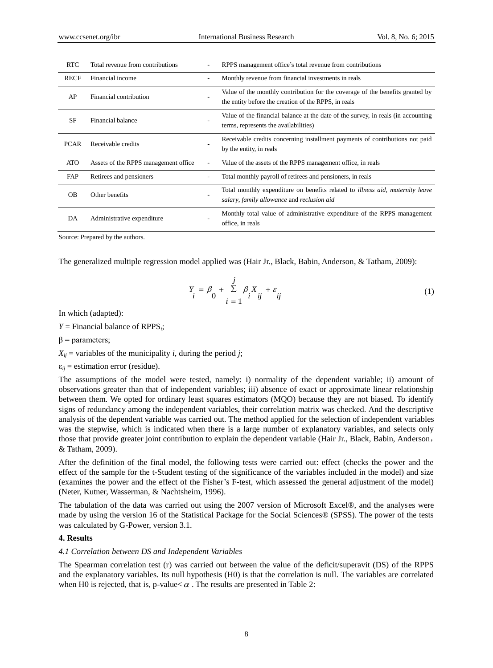| <b>RTC</b>  | Total revenue from contributions      |   | RPPS management office's total revenue from contributions                                                                             |
|-------------|---------------------------------------|---|---------------------------------------------------------------------------------------------------------------------------------------|
| <b>RECF</b> | Financial income                      | ۰ | Monthly revenue from financial investments in reals                                                                                   |
| AP          | Financial contribution                |   | Value of the monthly contribution for the coverage of the benefits granted by<br>the entity before the creation of the RPPS, in reals |
| <b>SF</b>   | Financial balance                     |   | Value of the financial balance at the date of the survey, in reals (in accounting<br>terms, represents the availabilities)            |
| <b>PCAR</b> | Receivable credits                    |   | Receivable credits concerning installment payments of contributions not paid<br>by the entity, in reals                               |
| <b>ATO</b>  | Assets of the RPPS management office. |   | Value of the assets of the RPPS management office, in reals                                                                           |
| <b>FAP</b>  | Retirees and pensioners               |   | Total monthly payroll of retirees and pensioners, in reals                                                                            |
| <b>OB</b>   | Other benefits                        |   | Total monthly expenditure on benefits related to <i>illness aid, maternity leave</i><br>salary, family allowance and reclusion aid    |
| DA          | Administrative expenditure            |   | Monthly total value of administrative expenditure of the RPPS management<br>office, in reals                                          |

Source: Prepared by the authors.

The generalized multiple regression model applied was (Hair Jr., Black, Babin, Anderson, & Tatham, 2009):

$$
Y_i = \beta_0 + \sum_{i=1}^{j} \beta_i X_i + \varepsilon_{ij}
$$
 (1)

In which (adapted):

*Y* = Financial balance of RPPS<sub>*i*</sub></sub>;

 $β = parameters;$ 

 $X_{ii}$  = variables of the municipality *i*, during the period *j*;

 $\varepsilon_{ii}$  = estimation error (residue).

The assumptions of the model were tested, namely: i) normality of the dependent variable; ii) amount of observations greater than that of independent variables; iii) absence of exact or approximate linear relationship between them. We opted for ordinary least squares estimators (MQO) because they are not biased. To identify signs of redundancy among the independent variables, their correlation matrix was checked. And the descriptive analysis of the dependent variable was carried out. The method applied for the selection of independent variables was the stepwise, which is indicated when there is a large number of explanatory variables, and selects only those that provide greater joint contribution to explain the dependent variable (Hair Jr., Black, Babin, Anderson, & Tatham, 2009).

After the definition of the final model, the following tests were carried out: effect (checks the power and the effect of the sample for the t-Student testing of the significance of the variables included in the model) and size (examines the power and the effect of the Fisher's F-test, which assessed the general adjustment of the model) (Neter, Kutner, Wasserman, & Nachtsheim, 1996).

The tabulation of the data was carried out using the 2007 version of Microsoft Excel®, and the analyses were made by using the version 16 of the Statistical Package for the Social Sciences® (SPSS). The power of the tests was calculated by G-Power, version 3.1.

### **4. Results**

#### *4.1 Correlation between DS and Independent Variables*

The Spearman correlation test (r) was carried out between the value of the deficit/superavit (DS) of the RPPS and the explanatory variables. Its null hypothesis (H0) is that the correlation is null. The variables are correlated when H0 is rejected, that is, p-value $< \alpha$ . The results are presented in Table 2: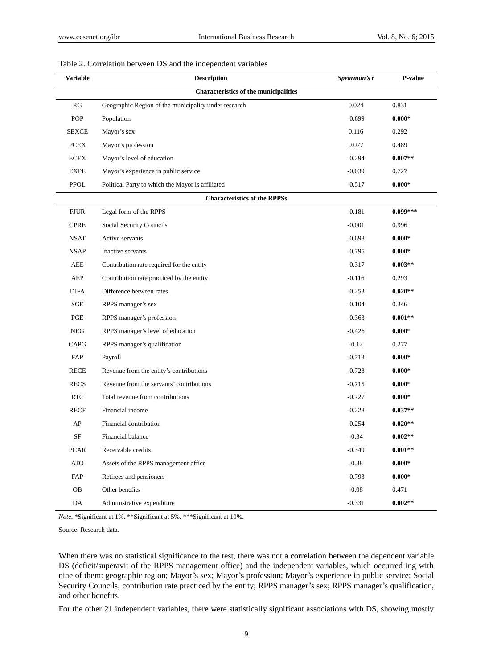#### Table 2. Correlation between DS and the independent variables

| Variable    | <b>Description</b>                                   | Spearman's r | <b>P-value</b> |  |  |  |  |  |
|-------------|------------------------------------------------------|--------------|----------------|--|--|--|--|--|
|             | Characteristics of the municipalities                |              |                |  |  |  |  |  |
| RG          | Geographic Region of the municipality under research | 0.024        | 0.831          |  |  |  |  |  |
| POP         | Population                                           | $-0.699$     | $0.000*$       |  |  |  |  |  |
| SEXCE       | Mayor's sex                                          | 0.116        | 0.292          |  |  |  |  |  |
| <b>PCEX</b> | Mayor's profession                                   | 0.077        | 0.489          |  |  |  |  |  |
| <b>ECEX</b> | Mayor's level of education                           | $-0.294$     | $0.007**$      |  |  |  |  |  |
| <b>EXPE</b> | Mayor's experience in public service                 | $-0.039$     | 0.727          |  |  |  |  |  |
| <b>PPOL</b> | Political Party to which the Mayor is affiliated     | $-0.517$     | $0.000*$       |  |  |  |  |  |
|             | <b>Characteristics of the RPPSs</b>                  |              |                |  |  |  |  |  |
| <b>FJUR</b> | Legal form of the RPPS                               | $-0.181$     | $0.099***$     |  |  |  |  |  |
| <b>CPRE</b> | Social Security Councils                             | $-0.001$     | 0.996          |  |  |  |  |  |
| <b>NSAT</b> | Active servants                                      | $-0.698$     | $0.000*$       |  |  |  |  |  |
| <b>NSAP</b> | Inactive servants                                    | $-0.795$     | $0.000*$       |  |  |  |  |  |
| AEE         | Contribution rate required for the entity            | $-0.317$     | $0.003**$      |  |  |  |  |  |
| AEP         | Contribution rate practiced by the entity            | $-0.116$     | 0.293          |  |  |  |  |  |
| <b>DIFA</b> | Difference between rates                             | $-0.253$     | $0.020**$      |  |  |  |  |  |
| SGE         | RPPS manager's sex                                   | $-0.104$     | 0.346          |  |  |  |  |  |
| PGE         | RPPS manager's profession                            | $-0.363$     | $0.001**$      |  |  |  |  |  |
| <b>NEG</b>  | RPPS manager's level of education                    | $-0.426$     | $0.000*$       |  |  |  |  |  |
| <b>CAPG</b> | RPPS manager's qualification                         | $-0.12$      | 0.277          |  |  |  |  |  |
| FAP         | Payroll                                              | $-0.713$     | $0.000*$       |  |  |  |  |  |
| <b>RECE</b> | Revenue from the entity's contributions              | $-0.728$     | $0.000*$       |  |  |  |  |  |
| <b>RECS</b> | Revenue from the servants' contributions             | $-0.715$     | $0.000*$       |  |  |  |  |  |
| <b>RTC</b>  | Total revenue from contributions                     | $-0.727$     | $0.000*$       |  |  |  |  |  |
| <b>RECF</b> | Financial income                                     | $-0.228$     | $0.037**$      |  |  |  |  |  |
| AP          | Financial contribution                               | $-0.254$     | $0.020**$      |  |  |  |  |  |
| SF          | Financial balance                                    | $-0.34$      | $0.002**$      |  |  |  |  |  |
| $PCAR$      | Receivable credits                                   | $-0.349$     | $0.001**$      |  |  |  |  |  |
| <b>ATO</b>  | Assets of the RPPS management office                 | $-0.38$      | $0.000*$       |  |  |  |  |  |
| FAP         | Retirees and pensioners                              | $-0.793$     | $0.000*$       |  |  |  |  |  |
| OB          | Other benefits                                       | $-0.08$      | 0.471          |  |  |  |  |  |
| DA          | Administrative expenditure                           | $-0.331$     | $0.002**$      |  |  |  |  |  |

*Note.* \*Significant at 1%. \*\*Significant at 5%. \*\*\*Significant at 10%.

Source: Research data.

When there was no statistical significance to the test, there was not a correlation between the dependent variable DS (deficit/superavit of the RPPS management office) and the independent variables, which occurred ing with nine of them: geographic region; Mayor's sex; Mayor's profession; Mayor's experience in public service; Social Security Councils; contribution rate practiced by the entity; RPPS manager's sex; RPPS manager's qualification, and other benefits.

For the other 21 independent variables, there were statistically significant associations with DS, showing mostly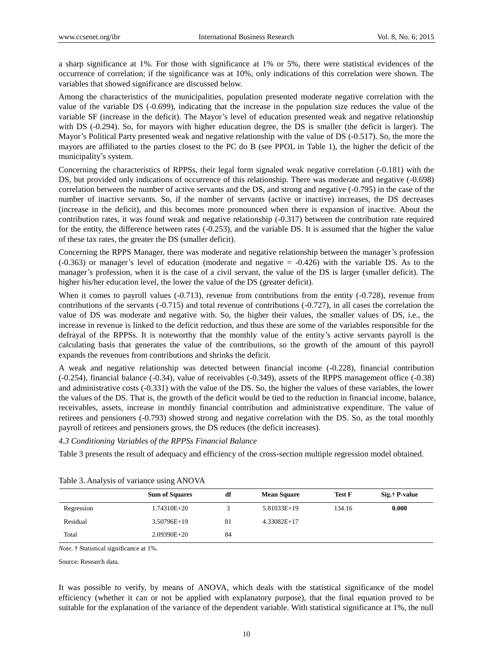a sharp significance at 1%. For those with significance at 1% or 5%, there were statistical evidences of the occurrence of correlation; if the significance was at 10%, only indications of this correlation were shown. The variables that showed significance are discussed below.

Among the characteristics of the municipalities, population presented moderate negative correlation with the value of the variable DS (-0.699), indicating that the increase in the population size reduces the value of the variable SF (increase in the deficit). The Mayor's level of education presented weak and negative relationship with DS (-0.294). So, for mayors with higher education degree, the DS is smaller (the deficit is larger). The Mayor's Political Party presented weak and negative relationship with the value of DS (-0.517). So, the more the mayors are affiliated to the parties closest to the PC do B (see PPOL in Table 1), the higher the deficit of the municipality's system.

Concerning the characteristics of RPPSs, their legal form signaled weak negative correlation (-0.181) with the DS, but provided only indications of occurrence of this relationship. There was moderate and negative (-0.698) correlation between the number of active servants and the DS, and strong and negative (-0.795) in the case of the number of inactive servants. So, if the number of servants (active or inactive) increases, the DS decreases (increase in the deficit), and this becomes more pronounced when there is expansion of inactive. About the contribution rates, it was found weak and negative relationship (-0.317) between the contribution rate required for the entity, the difference between rates (-0.253), and the variable DS. It is assumed that the higher the value of these tax rates, the greater the DS (smaller deficit).

Concerning the RPPS Manager, there was moderate and negative relationship between the manager's profession (-0.363) or manager's level of education (moderate and negative = -0.426) with the variable DS. As to the manager's profession, when it is the case of a civil servant, the value of the DS is larger (smaller deficit). The higher his/her education level, the lower the value of the DS (greater deficit).

When it comes to payroll values (-0.713), revenue from contributions from the entity (-0.728), revenue from contributions of the servants (-0.715) and total revenue of contributions (-0.727), in all cases the correlation the value of DS was moderate and negative with. So, the higher their values, the smaller values of DS, i.e., the increase in revenue is linked to the deficit reduction, and thus these are some of the variables responsible for the defrayal of the RPPSs. It is noteworthy that the monthly value of the entity's active servants payroll is the calculating basis that generates the value of the contributions, so the growth of the amount of this payroll expands the revenues from contributions and shrinks the deficit.

A weak and negative relationship was detected between financial income (-0.228), financial contribution (-0.254), financial balance (-0.34), value of receivables (-0.349), assets of the RPPS management office (-0.38) and administrative costs (-0.331) with the value of the DS. So, the higher the values of these variables, the lower the values of the DS. That is, the growth of the deficit would be tied to the reduction in financial income, balance, receivables, assets, increase in monthly financial contribution and administrative expenditure. The value of retirees and pensioners (-0.793) showed strong and negative correlation with the DS. So, as the total monthly payroll of retirees and pensioners grows, the DS reduces (the deficit increases).

## *4.3 Conditioning Variables of the RPPSs Financial Balance*

Table 3 presents the result of adequacy and efficiency of the cross-section multiple regression model obtained.

|            | <b>Sum of Squares</b> | df | <b>Mean Square</b> | <b>Test F</b> | Sig.† P-value |
|------------|-----------------------|----|--------------------|---------------|---------------|
| Regression | $1.74310E + 20$       |    | $5.81033E+19$      | 134.16        | 0.000         |
| Residual   | $3.50796E+19$         | 81 | $4.33082E+17$      |               |               |
| Total      | $2.09390E+20$         | 84 |                    |               |               |

Table 3. Analysis of variance using ANOVA

*Note.* † Statistical significance at 1%.

Source: Research data.

It was possible to verify, by means of ANOVA, which deals with the statistical significance of the model efficiency (whether it can or not be applied with explanatory purpose), that the final equation proved to be suitable for the explanation of the variance of the dependent variable. With statistical significance at 1%, the null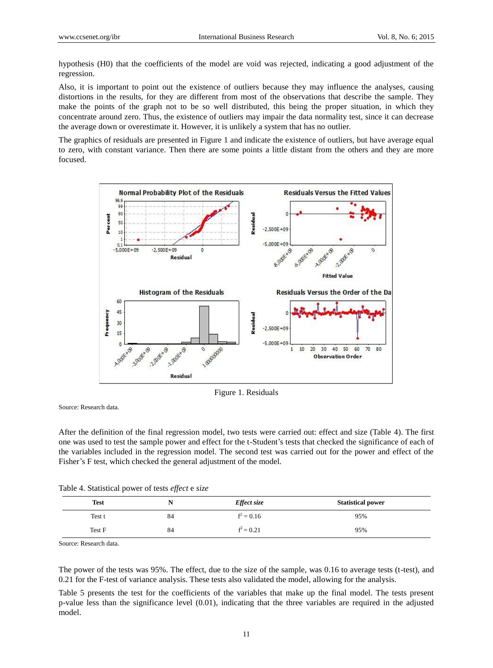hypothesis (H0) that the coefficients of the model are void was rejected, indicating a good adjustment of the regression.

Also, it is important to point out the existence of outliers because they may influence the analyses, causing distortions in the results, for they are different from most of the observations that describe the sample. They make the points of the graph not to be so well distributed, this being the proper situation, in which they concentrate around zero. Thus, the existence of outliers may impair the data normality test, since it can decrease the average down or overestimate it. However, it is unlikely a system that has no outlier.

The graphics of residuals are presented in Figure 1 and indicate the existence of outliers, but have average equal to zero, with constant variance. Then there are some points a little distant from the others and they are more focused.



Figure 1. Residuals

Source: Research data.

After the definition of the final regression model, two tests were carried out: effect and size (Table 4). The first one was used to test the sample power and effect for the t-Student's tests that checked the significance of each of the variables included in the regression model. The second test was carried out for the power and effect of the Fisher's F test, which checked the general adjustment of the model.

| <b>Test</b> | 17 | Effect size  | <b>Statistical power</b> |
|-------------|----|--------------|--------------------------|
| Test t      | 84 | $f^2 = 0.16$ | 95%                      |
| Test F      | 84 | $f^2 = 0.21$ | 95%                      |

Table 4. Statistical power of tests *effect* e *size*

Source: Research data.

The power of the tests was 95%. The effect, due to the size of the sample, was 0.16 to average tests (t-test), and 0.21 for the F-test of variance analysis. These tests also validated the model, allowing for the analysis.

Table 5 presents the test for the coefficients of the variables that make up the final model. The tests present p-value less than the significance level (0.01), indicating that the three variables are required in the adjusted model.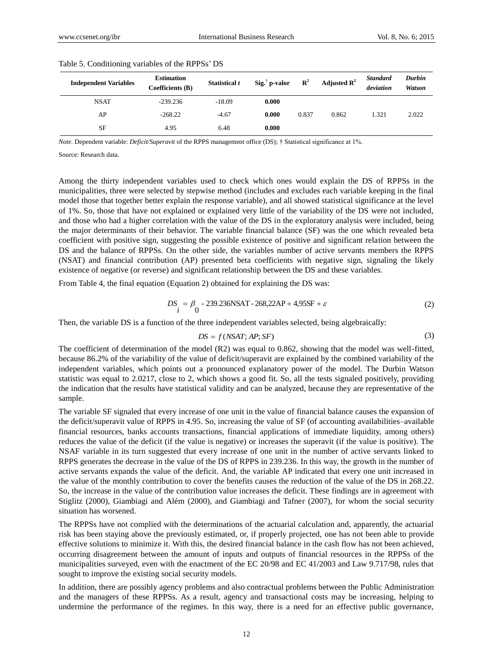| <b>Independent Variables</b> | <b>Estimation</b><br>Coefficients (B) | Statistical t | $\text{Sig.}^{\dagger}$ p-valor | $\mathbb{R}^2$ | Adjusted $\mathbb{R}^2$ | <b>Standard</b><br>deviation | Durbin<br><b>Watson</b> |
|------------------------------|---------------------------------------|---------------|---------------------------------|----------------|-------------------------|------------------------------|-------------------------|
| <b>NSAT</b>                  | $-239.236$                            | $-18.09$      | 0.000                           |                |                         |                              |                         |
| AP                           | $-268.22$                             | $-4.67$       | 0.000                           | 0.837          | 0.862                   | 1.321                        | 2.022                   |
| SF                           | 4.95                                  | 6.48          | 0.000                           |                |                         |                              |                         |

#### Table 5. Conditioning variables of the RPPSs' DS

*Note.* Dependent variable: *Deficit/Superavit* of the RPPS management office (DS); † Statistical significance at 1%.

Source: Research data.

Among the thirty independent variables used to check which ones would explain the DS of RPPSs in the municipalities, three were selected by stepwise method (includes and excludes each variable keeping in the final model those that together better explain the response variable), and all showed statistical significance at the level of 1%. So, those that have not explained or explained very little of the variability of the DS were not included, and those who had a higher correlation with the value of the DS in the exploratory analysis were included, being the major determinants of their behavior. The variable financial balance (SF) was the one which revealed beta coefficient with positive sign, suggesting the possible existence of positive and significant relation between the DS and the balance of RPPSs. On the other side, the variables number of active servants members the RPPS (NSAT) and financial contribution (AP) presented beta coefficients with negative sign, signaling the likely existence of negative (or reverse) and significant relationship between the DS and these variables.

From Table 4, the final equation (Equation 2) obtained for explaining the DS was:

$$
DS_{i} = \beta_{0} - 239.236 \text{NSAT} - 268.22 \text{AP} + 4.95 \text{SF} + \varepsilon
$$
 (2)

Then, the variable DS is a function of the three independent variables selected, being algebraically:

$$
DS = f(NSAT; AP; SF)
$$
\n(3)

The coefficient of determination of the model (R2) was equal to 0.862, showing that the model was well-fitted, because 86.2% of the variability of the value of deficit/superavit are explained by the combined variability of the independent variables, which points out a pronounced explanatory power of the model. The Durbin Watson statistic was equal to 2.0217, close to 2, which shows a good fit. So, all the tests signaled positively, providing the indication that the results have statistical validity and can be analyzed, because they are representative of the sample.

The variable SF signaled that every increase of one unit in the value of financial balance causes the expansion of the deficit/superavit value of RPPS in 4.95. So, increasing the value of SF (of accounting availabilities–available financial resources, banks accounts transactions, financial applications of immediate liquidity, among others) reduces the value of the deficit (if the value is negative) or increases the superavit (if the value is positive). The NSAF variable in its turn suggested that every increase of one unit in the number of active servants linked to RPPS generates the decrease in the value of the DS of RPPS in 239.236. In this way, the growth in the number of active servants expands the value of the deficit. And, the variable AP indicated that every one unit increased in the value of the monthly contribution to cover the benefits causes the reduction of the value of the DS in 268.22. So, the increase in the value of the contribution value increases the deficit. These findings are in agreement with Stiglitz (2000), Giambiagi and Além (2000), and Giambiagi and Tafner (2007), for whom the social security situation has worsened.

The RPPSs have not complied with the determinations of the actuarial calculation and, apparently, the actuarial risk has been staying above the previously estimated, or, if properly projected, one has not been able to provide effective solutions to minimize it. With this, the desired financial balance in the cash flow has not been achieved, occurring disagreement between the amount of inputs and outputs of financial resources in the RPPSs of the municipalities surveyed, even with the enactment of the EC 20/98 and EC 41/2003 and Law 9.717/98, rules that sought to improve the existing social security models.

In addition, there are possibly agency problems and also contractual problems between the Public Administration and the managers of these RPPSs. As a result, agency and transactional costs may be increasing, helping to undermine the performance of the regimes. In this way, there is a need for an effective public governance,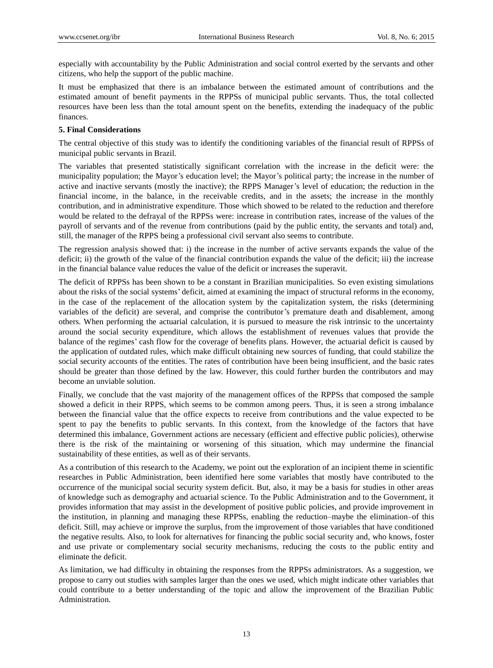especially with accountability by the Public Administration and social control exerted by the servants and other citizens, who help the support of the public machine.

It must be emphasized that there is an imbalance between the estimated amount of contributions and the estimated amount of benefit payments in the RPPSs of municipal public servants. Thus, the total collected resources have been less than the total amount spent on the benefits, extending the inadequacy of the public finances.

## **5. Final Considerations**

The central objective of this study was to identify the conditioning variables of the financial result of RPPSs of municipal public servants in Brazil.

The variables that presented statistically significant correlation with the increase in the deficit were: the municipality population; the Mayor's education level; the Mayor's political party; the increase in the number of active and inactive servants (mostly the inactive); the RPPS Manager's level of education; the reduction in the financial income, in the balance, in the receivable credits, and in the assets; the increase in the monthly contribution, and in administrative expenditure. Those which showed to be related to the reduction and therefore would be related to the defrayal of the RPPSs were: increase in contribution rates, increase of the values of the payroll of servants and of the revenue from contributions (paid by the public entity, the servants and total) and, still, the manager of the RPPS being a professional civil servant also seems to contribute.

The regression analysis showed that: i) the increase in the number of active servants expands the value of the deficit; ii) the growth of the value of the financial contribution expands the value of the deficit; iii) the increase in the financial balance value reduces the value of the deficit or increases the superavit.

The deficit of RPPSs has been shown to be a constant in Brazilian municipalities. So even existing simulations about the risks of the social systems' deficit, aimed at examining the impact of structural reforms in the economy, in the case of the replacement of the allocation system by the capitalization system, the risks (determining variables of the deficit) are several, and comprise the contributor's premature death and disablement, among others. When performing the actuarial calculation, it is pursued to measure the risk intrinsic to the uncertainty around the social security expenditure, which allows the establishment of revenues values that provide the balance of the regimes' cash flow for the coverage of benefits plans. However, the actuarial deficit is caused by the application of outdated rules, which make difficult obtaining new sources of funding, that could stabilize the social security accounts of the entities. The rates of contribution have been being insufficient, and the basic rates should be greater than those defined by the law. However, this could further burden the contributors and may become an unviable solution.

Finally, we conclude that the vast majority of the management offices of the RPPSs that composed the sample showed a deficit in their RPPS, which seems to be common among peers. Thus, it is seen a strong imbalance between the financial value that the office expects to receive from contributions and the value expected to be spent to pay the benefits to public servants. In this context, from the knowledge of the factors that have determined this imbalance, Government actions are necessary (efficient and effective public policies), otherwise there is the risk of the maintaining or worsening of this situation, which may undermine the financial sustainability of these entities, as well as of their servants.

As a contribution of this research to the Academy, we point out the exploration of an incipient theme in scientific researches in Public Administration, been identified here some variables that mostly have contributed to the occurrence of the municipal social security system deficit. But, also, it may be a basis for studies in other areas of knowledge such as demography and actuarial science. To the Public Administration and to the Government, it provides information that may assist in the development of positive public policies, and provide improvement in the institution, in planning and managing these RPPSs, enabling the reduction–maybe the elimination–of this deficit. Still, may achieve or improve the surplus, from the improvement of those variables that have conditioned the negative results. Also, to look for alternatives for financing the public social security and, who knows, foster and use private or complementary social security mechanisms, reducing the costs to the public entity and eliminate the deficit.

As limitation, we had difficulty in obtaining the responses from the RPPSs administrators. As a suggestion, we propose to carry out studies with samples larger than the ones we used, which might indicate other variables that could contribute to a better understanding of the topic and allow the improvement of the Brazilian Public Administration.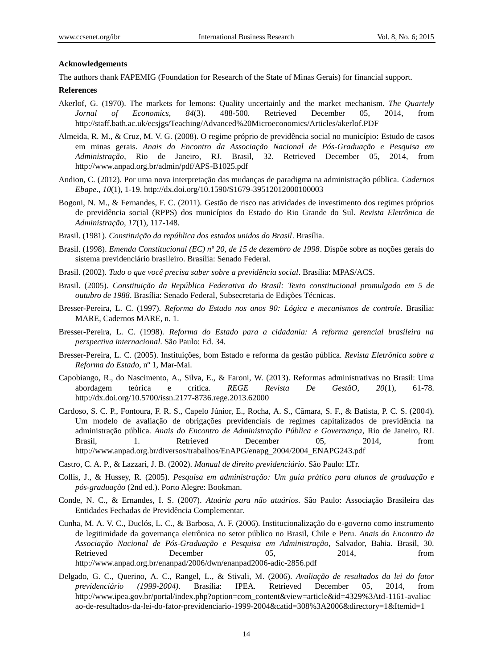#### **Acknowledgements**

The authors thank FAPEMIG (Foundation for Research of the State of Minas Gerais) for financial support.

#### **References**

- Akerlof, G. (1970). The markets for lemons: Quality uncertainly and the market mechanism. *The Quartely Jornal of Economics, 84*(3). 488-500. Retrieved December 05, 2014, from http://staff.bath.ac.uk/ecsjgs/Teaching/Advanced%20Microeconomics/Articles/akerlof.PDF
- Almeida, R. M., & Cruz, M. V. G. (2008). O regime próprio de previdência social no município: Estudo de casos em minas gerais. *Anais do Encontro da Associação Nacional de Pós-Graduação e Pesquisa em Administração*, Rio de Janeiro, RJ. Brasil, 32. Retrieved December 05, 2014, from http://www.anpad.org.br/admin/pdf/APS-B1025.pdf
- Andion, C. (2012). Por uma nova interpretação das mudanças de paradigma na administração pública. *Cadernos Ebape*., *10*(1), 1-19. http://dx.doi.org/10.1590/S1679-39512012000100003
- Bogoni, N. M., & Fernandes, F. C. (2011). Gestão de risco nas atividades de investimento dos regimes próprios de previdência social (RPPS) dos munic pios do Estado do Rio Grande do Sul. *Revista Eletrônica de Administração, 17*(1), 117-148.
- Brasil. (1981). *Constituição da república dos estados unidos do Brasil*. Bras fia.
- Brasil. (1998). *Emenda Constitucional (EC) nº 20, de 15 de dezembro de 1998*. Dispõe sobre as noções gerais do sistema previdenciário brasileiro. Brasília: Senado Federal.
- Brasil. (2002). *Tudo o que você precisa saber sobre a previdência social*. Brasília: MPAS/ACS.
- Brasil. (2005). *Constituição da República Federativa do Brasil: Texto constitucional promulgado em 5 de outubro de 1988*. Bras fia: Senado Federal, Subsecretaria de Edições Técnicas.
- Bresser-Pereira, L. C. (1997). *Reforma do Estado nos anos 90: Lógica e mecanismos de controle*. Brasília: MARE, Cadernos MARE, n. 1.
- Bresser-Pereira, L. C. (1998). *Reforma do Estado para a cidadania: A reforma gerencial brasileira na perspectiva internacional*. São Paulo: Ed. 34.
- Bresser-Pereira, L. C. (2005). Instituições, bom Estado e reforma da gestão pública. *Revista Eletrônica sobre a Reforma do Estado*, nº 1, Mar-Mai.
- Capobiango, R., do Nascimento, A., Silva, E., & Faroni, W. (2013). Reformas administrativas no Brasil: Uma abordagem teórica e crítica. *REGE Revista De GestãO, 20*(1), 61-78. http://dx.doi.org/10.5700/issn.2177-8736.rege.2013.62000
- Cardoso, S. C. P., Fontoura, F. R. S., Capelo Júnior, E., Rocha, A. S., Câmara, S. F., & Batista, P. C. S. (2004). Um modelo de avaliação de obrigações previdenciais de regimes capitalizados de previdência na administração pública. *Anais do Encontro de Administração Pública e Governança*, Rio de Janeiro, RJ. Brasil, 1. Retrieved December 05, 2014, from http://www.anpad.org.br/diversos/trabalhos/EnAPG/enapg\_2004/2004\_ENAPG243.pdf
- Castro, C. A. P., & Lazzari, J. B. (2002). *Manual de direito previdenciário*. São Paulo: LTr.
- Collis, J., & Hussey, R. (2005). *Pesquisa em administração: Um guia prático para alunos de graduação e pós-graduação* (2nd ed.). Porto Alegre: Bookman.
- Conde, N. C., & Ernandes, I. S. (2007). *Atuária para não atuários*. São Paulo: Associação Brasileira das Entidades Fechadas de Previdência Complementar.
- Cunha, M. A. V. C., Duclós, L. C., & Barbosa, A. F. (2006). Institucionalização do e-governo como instrumento de legitimidade da governança eletrônica no setor público no Brasil, Chile e Peru. *Anais do Encontro da Associação Nacional de Pós-Graduação e Pesquisa em Administração*, Salvador, Bahia. Brasil, 30. Retrieved December 05, 2014, from http://www.anpad.org.br/enanpad/2006/dwn/enanpad2006-adic-2856.pdf
- Delgado, G. C., Querino, A. C., Rangel, L., & Stivali, M. (2006). *Avaliação de resultados da lei do fator previdenciário (1999-2004)*. Brasília: IPEA. Retrieved December 05, 2014, from http://www.ipea.gov.br/portal/index.php?option=com\_content&view=article&id=4329%3Atd-1161-avaliac ao-de-resultados-da-lei-do-fator-previdenciario-1999-2004&catid=308%3A2006&directory=1&Itemid=1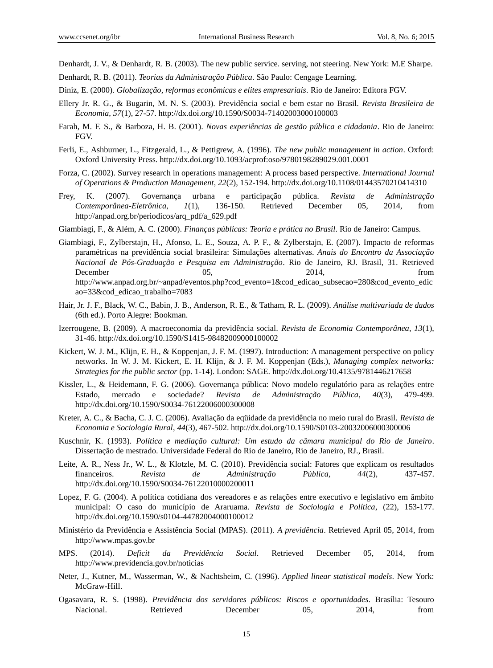- Denhardt, J. V., & Denhardt, R. B. (2003). The new public service. serving, not steering. New York: M.E Sharpe.
- Denhardt, R. B. (2011). *Teorias da Administração Pública*. São Paulo: Cengage Learning.
- Diniz, E. (2000). *Globalização, reformas econômicas e elites empresariais*. Rio de Janeiro: Editora FGV.
- Ellery Jr. R. G., & Bugarin, M. N. S. (2003). Previdência social e bem estar no Brasil. *Revista Brasileira de Economia*, *57*(1), 27-57. http://dx.doi.org/10.1590/S0034-71402003000100003
- Farah, M. F. S., & Barboza, H. B. (2001). *Novas experiências de gestão pública e cidadania*. Rio de Janeiro: FGV.
- Ferli, E., Ashburner, L., Fitzgerald, L., & Pettigrew, A. (1996). *The new public management in action*. Oxford: Oxford University Press. http://dx.doi.org/10.1093/acprof:oso/9780198289029.001.0001
- Forza, C. (2002). Survey research in operations management: A process based perspective. *International Journal of Operations & Production Management*, *22*(2), 152-194. http://dx.doi.org/10.1108/01443570210414310
- Frey, K. (2007). Governança urbana e participação pública. *Revista de Administração Contemporânea-Eletrônica*, *1*(1), 136-150. Retrieved December 05, 2014, from http://anpad.org.br/periodicos/arq\_pdf/a\_629.pdf
- Giambiagi, F., & Além, A. C. (2000). *Finanças públicas: Teoria e prática no Brasil*. Rio de Janeiro: Campus.
- Giambiagi, F., Zylberstajn, H., Afonso, L. E., Souza, A. P. F., & Zylberstajn, E. (2007). Impacto de reformas paramétricas na previdência social brasileira: Simulações alternativas. *Anais do Encontro da Associação Nacional de Pós-Graduação e Pesquisa em Administração*. Rio de Janeiro, RJ. Brasil, 31. Retrieved December 05, 2014, from http://www.anpad.org.br/~anpad/eventos.php?cod\_evento=1&cod\_edicao\_subsecao=280&cod\_evento\_edic ao=33&cod\_edicao\_trabalho=7083
- Hair, Jr. J. F., Black, W. C., Babin, J. B., Anderson, R. E., & Tatham, R. L. (2009). *Análise multivariada de dados* (6th ed.). Porto Alegre: Bookman.
- Izerrougene, B. (2009). A macroeconomia da previdência social. *Revista de Economia Contemporânea, 13*(1), 31-46. http://dx.doi.org/10.1590/S1415-98482009000100002
- Kickert, W. J. M., Klijn, E. H., & Koppenjan, J. F. M. (1997). Introduction: A management perspective on policy networks. In W. J. M. Kickert, E. H. Klijn, & J. F. M. Koppenjan (Eds.), *Managing complex networks: Strategies for the public sector* (pp. 1-14). London: SAGE. http://dx.doi.org/10.4135/9781446217658
- Kissler, L., & Heidemann, F. G. (2006). Governança pública: Novo modelo regulatório para as relações entre Estado, mercado e sociedade? *Revista de Administração Pública*, *40*(3), 479-499. http://dx.doi.org/10.1590/S0034-76122006000300008
- Kreter, A. C., & Bacha, C. J. C. (2006). Avaliação da eqüidade da previdência no meio rural do Brasil. *Revista de Economia e Sociologia Rural*, *44*(3), 467-502. http://dx.doi.org/10.1590/S0103-20032006000300006
- Kuschnir, K. (1993). *Política e mediação cultural: Um estudo da câmara municipal do Rio de Janeiro*. Dissertação de mestrado. Universidade Federal do Rio de Janeiro, Rio de Janeiro, RJ., Brasil.
- Leite, A. R., Ness Jr., W. L., & Klotzle, M. C. (2010). Previdência social: Fatores que explicam os resultados financeiros. *Revista de Administração Pública, 44*(2), 437-457. http://dx.doi.org/10.1590/S0034-76122010000200011
- Lopez, F. G. (2004). A política cotidiana dos vereadores e as relações entre executivo e legislativo em âmbito municipal: O caso do município de Araruama. *Revista de Sociologia e Política*, (22), 153-177. http://dx.doi.org/10.1590/s0104-44782004000100012
- Ministério da Previdência e Assistência Social (MPAS). (2011). *A previdência*. Retrieved April 05, 2014, from http://www.mpas.gov.br
- MPS. (2014). *Deficit da Previdência Social*. Retrieved December 05, 2014, from http://www.previdencia.gov.br/noticias
- Neter, J., Kutner, M., Wasserman, W., & Nachtsheim, C. (1996). *Applied linear statistical models*. New York: McGraw-Hill.
- Ogasavara, R. S. (1998). *Previdência dos servidores públicos: Riscos e oportunidades*. Brasília: Tesouro Nacional. Retrieved December 05, 2014, from